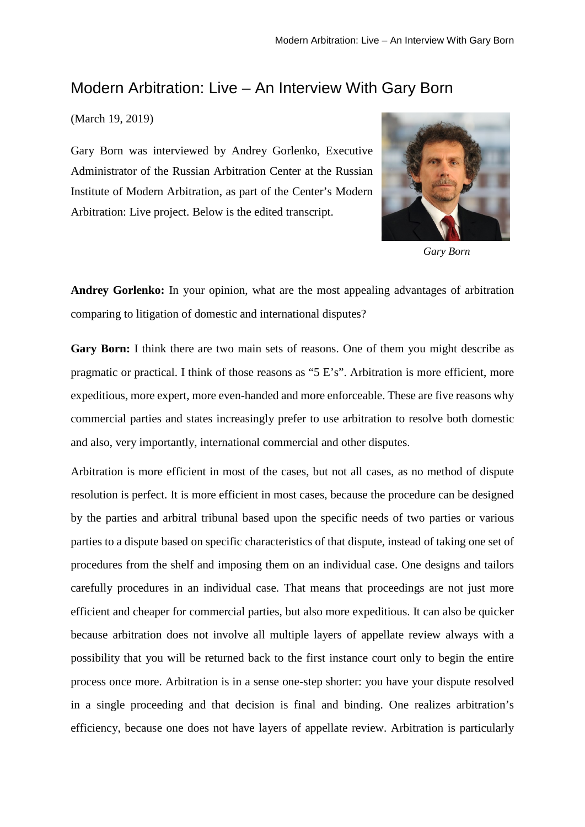## Modern Arbitration: Live – An Interview With Gary Born

## (March 19, 2019)

Gary Born was interviewed by Andrey Gorlenko, Executive Administrator of the Russian Arbitration Center at the Russian Institute of Modern Arbitration, as part of the Center's Modern Arbitration: Live project. Below is the edited transcript.



*Gary Born*

**Andrey Gorlenko:** In your opinion, what are the most appealing advantages of arbitration comparing to litigation of domestic and international disputes?

**Gary Born:** I think there are two main sets of reasons. One of them you might describe as pragmatic or practical. I think of those reasons as "5 E's". Arbitration is more efficient, more expeditious, more expert, more even-handed and more enforceable. These are five reasons why commercial parties and states increasingly prefer to use arbitration to resolve both domestic and also, very importantly, international commercial and other disputes.

Arbitration is more efficient in most of the cases, but not all cases, as no method of dispute resolution is perfect. It is more efficient in most cases, because the procedure can be designed by the parties and arbitral tribunal based upon the specific needs of two parties or various parties to a dispute based on specific characteristics of that dispute, instead of taking one set of procedures from the shelf and imposing them on an individual case. One designs and tailors carefully procedures in an individual case. That means that proceedings are not just more efficient and cheaper for commercial parties, but also more expeditious. It can also be quicker because arbitration does not involve all multiple layers of appellate review always with a possibility that you will be returned back to the first instance court only to begin the entire process once more. Arbitration is in a sense one-step shorter: you have your dispute resolved in a single proceeding and that decision is final and binding. One realizes arbitration's efficiency, because one does not have layers of appellate review. Arbitration is particularly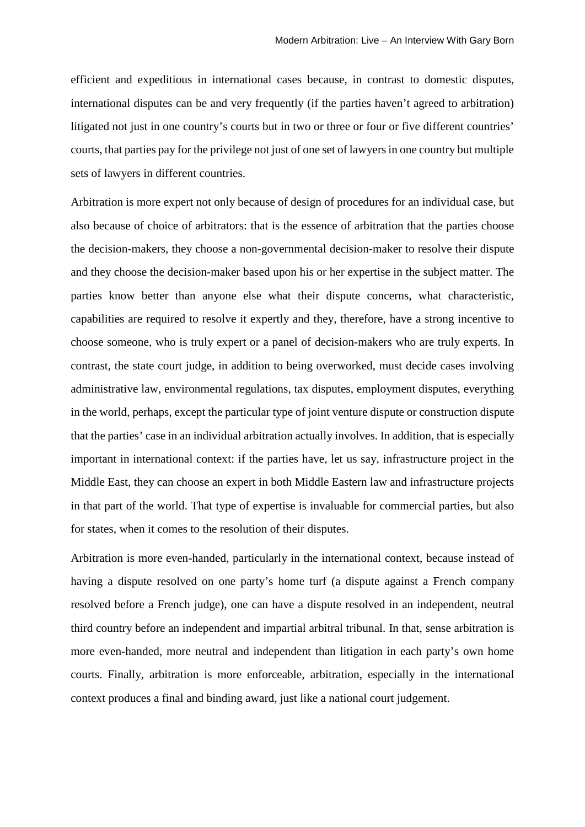efficient and expeditious in international cases because, in contrast to domestic disputes, international disputes can be and very frequently (if the parties haven't agreed to arbitration) litigated not just in one country's courts but in two or three or four or five different countries' courts, that parties pay for the privilege not just of one set of lawyers in one country but multiple sets of lawyers in different countries.

Arbitration is more expert not only because of design of procedures for an individual case, but also because of choice of arbitrators: that is the essence of arbitration that the parties choose the decision-makers, they choose a non-governmental decision-maker to resolve their dispute and they choose the decision-maker based upon his or her expertise in the subject matter. The parties know better than anyone else what their dispute concerns, what characteristic, capabilities are required to resolve it expertly and they, therefore, have a strong incentive to choose someone, who is truly expert or a panel of decision-makers who are truly experts. In contrast, the state court judge, in addition to being overworked, must decide cases involving administrative law, environmental regulations, tax disputes, employment disputes, everything in the world, perhaps, except the particular type of joint venture dispute or construction dispute that the parties' case in an individual arbitration actually involves. In addition, that is especially important in international context: if the parties have, let us say, infrastructure project in the Middle East, they can choose an expert in both Middle Eastern law and infrastructure projects in that part of the world. That type of expertise is invaluable for commercial parties, but also for states, when it comes to the resolution of their disputes.

Arbitration is more even-handed, particularly in the international context, because instead of having a dispute resolved on one party's home turf (a dispute against a French company resolved before a French judge), one can have a dispute resolved in an independent, neutral third country before an independent and impartial arbitral tribunal. In that, sense arbitration is more even-handed, more neutral and independent than litigation in each party's own home courts. Finally, arbitration is more enforceable, arbitration, especially in the international context produces a final and binding award, just like a national court judgement.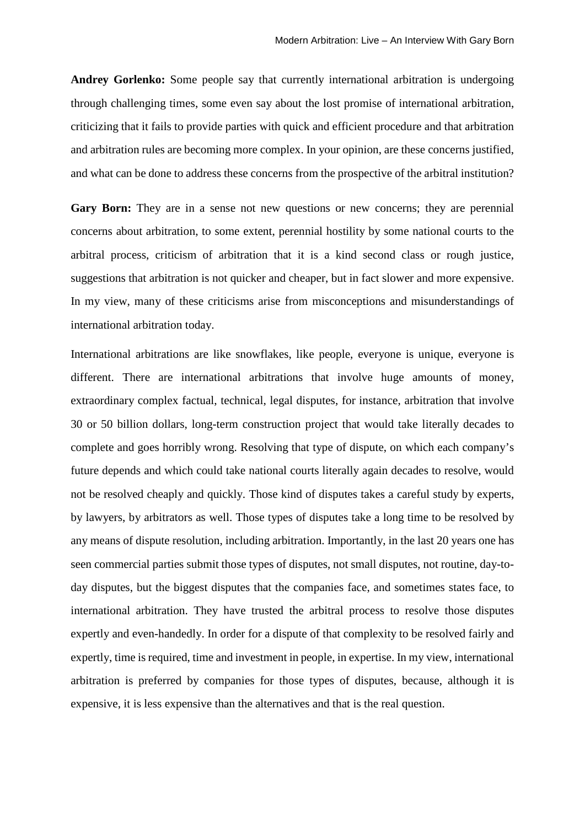**Andrey Gorlenko:** Some people say that currently international arbitration is undergoing through challenging times, some even say about the lost promise of international arbitration, criticizing that it fails to provide parties with quick and efficient procedure and that arbitration and arbitration rules are becoming more complex. In your opinion, are these concerns justified, and what can be done to address these concerns from the prospective of the arbitral institution?

Gary Born: They are in a sense not new questions or new concerns; they are perennial concerns about arbitration, to some extent, perennial hostility by some national courts to the arbitral process, criticism of arbitration that it is a kind second class or rough justice, suggestions that arbitration is not quicker and cheaper, but in fact slower and more expensive. In my view, many of these criticisms arise from misconceptions and misunderstandings of international arbitration today.

International arbitrations are like snowflakes, like people, everyone is unique, everyone is different. There are international arbitrations that involve huge amounts of money, extraordinary complex factual, technical, legal disputes, for instance, arbitration that involve 30 or 50 billion dollars, long-term construction project that would take literally decades to complete and goes horribly wrong. Resolving that type of dispute, on which each company's future depends and which could take national courts literally again decades to resolve, would not be resolved cheaply and quickly. Those kind of disputes takes a careful study by experts, by lawyers, by arbitrators as well. Those types of disputes take a long time to be resolved by any means of dispute resolution, including arbitration. Importantly, in the last 20 years one has seen commercial parties submit those types of disputes, not small disputes, not routine, day-today disputes, but the biggest disputes that the companies face, and sometimes states face, to international arbitration. They have trusted the arbitral process to resolve those disputes expertly and even-handedly. In order for a dispute of that complexity to be resolved fairly and expertly, time is required, time and investment in people, in expertise. In my view, international arbitration is preferred by companies for those types of disputes, because, although it is expensive, it is less expensive than the alternatives and that is the real question.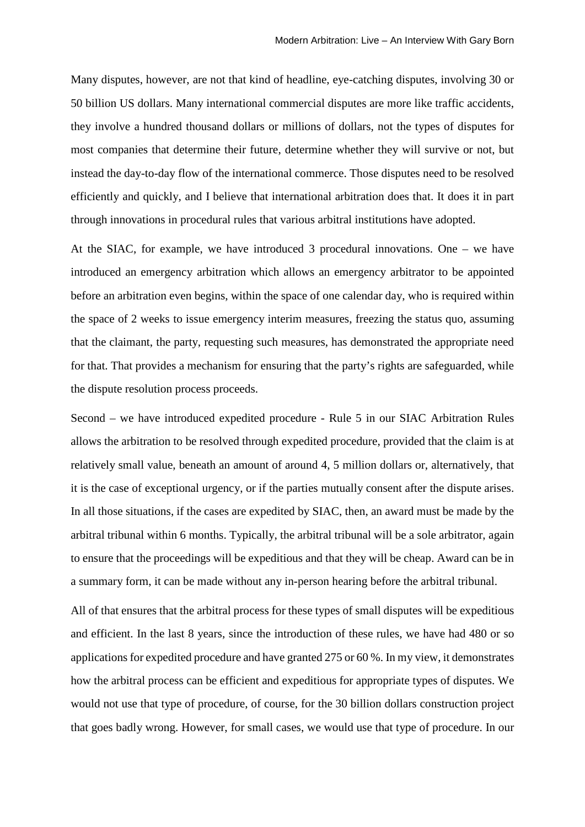Many disputes, however, are not that kind of headline, eye-catching disputes, involving 30 or 50 billion US dollars. Many international commercial disputes are more like traffic accidents, they involve a hundred thousand dollars or millions of dollars, not the types of disputes for most companies that determine their future, determine whether they will survive or not, but instead the day-to-day flow of the international commerce. Those disputes need to be resolved efficiently and quickly, and I believe that international arbitration does that. It does it in part through innovations in procedural rules that various arbitral institutions have adopted.

At the SIAC, for example, we have introduced 3 procedural innovations. One – we have introduced an emergency arbitration which allows an emergency arbitrator to be appointed before an arbitration even begins, within the space of one calendar day, who is required within the space of 2 weeks to issue emergency interim measures, freezing the status quo, assuming that the claimant, the party, requesting such measures, has demonstrated the appropriate need for that. That provides a mechanism for ensuring that the party's rights are safeguarded, while the dispute resolution process proceeds.

Second – we have introduced expedited procedure - Rule 5 in our SIAC Arbitration Rules allows the arbitration to be resolved through expedited procedure, provided that the claim is at relatively small value, beneath an amount of around 4, 5 million dollars or, alternatively, that it is the case of exceptional urgency, or if the parties mutually consent after the dispute arises. In all those situations, if the cases are expedited by SIAC, then, an award must be made by the arbitral tribunal within 6 months. Typically, the arbitral tribunal will be a sole arbitrator, again to ensure that the proceedings will be expeditious and that they will be cheap. Award can be in a summary form, it can be made without any in-person hearing before the arbitral tribunal.

All of that ensures that the arbitral process for these types of small disputes will be expeditious and efficient. In the last 8 years, since the introduction of these rules, we have had 480 or so applications for expedited procedure and have granted 275 or 60 %. In my view, it demonstrates how the arbitral process can be efficient and expeditious for appropriate types of disputes. We would not use that type of procedure, of course, for the 30 billion dollars construction project that goes badly wrong. However, for small cases, we would use that type of procedure. In our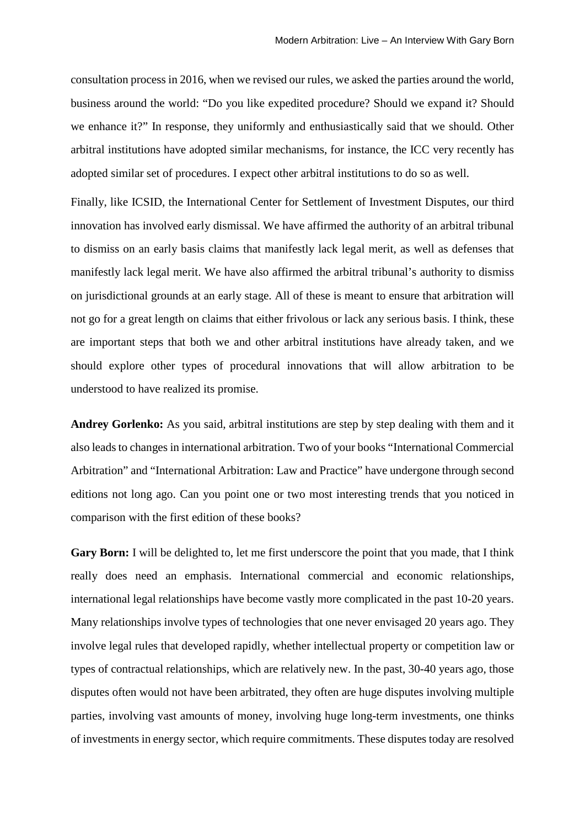consultation process in 2016, when we revised our rules, we asked the parties around the world, business around the world: "Do you like expedited procedure? Should we expand it? Should we enhance it?" In response, they uniformly and enthusiastically said that we should. Other arbitral institutions have adopted similar mechanisms, for instance, the ICC very recently has adopted similar set of procedures. I expect other arbitral institutions to do so as well.

Finally, like ICSID, the International Center for Settlement of Investment Disputes, our third innovation has involved early dismissal. We have affirmed the authority of an arbitral tribunal to dismiss on an early basis claims that manifestly lack legal merit, as well as defenses that manifestly lack legal merit. We have also affirmed the arbitral tribunal's authority to dismiss on jurisdictional grounds at an early stage. All of these is meant to ensure that arbitration will not go for a great length on claims that either frivolous or lack any serious basis. I think, these are important steps that both we and other arbitral institutions have already taken, and we should explore other types of procedural innovations that will allow arbitration to be understood to have realized its promise.

**Andrey Gorlenko:** As you said, arbitral institutions are step by step dealing with them and it also leads to changes in international arbitration. Two of your books "International Commercial Arbitration" and "International Arbitration: Law and Practice" have undergone through second editions not long ago. Can you point one or two most interesting trends that you noticed in comparison with the first edition of these books?

**Gary Born:** I will be delighted to, let me first underscore the point that you made, that I think really does need an emphasis. International commercial and economic relationships, international legal relationships have become vastly more complicated in the past 10-20 years. Many relationships involve types of technologies that one never envisaged 20 years ago. They involve legal rules that developed rapidly, whether intellectual property or competition law or types of contractual relationships, which are relatively new. In the past, 30-40 years ago, those disputes often would not have been arbitrated, they often are huge disputes involving multiple parties, involving vast amounts of money, involving huge long-term investments, one thinks of investments in energy sector, which require commitments. These disputes today are resolved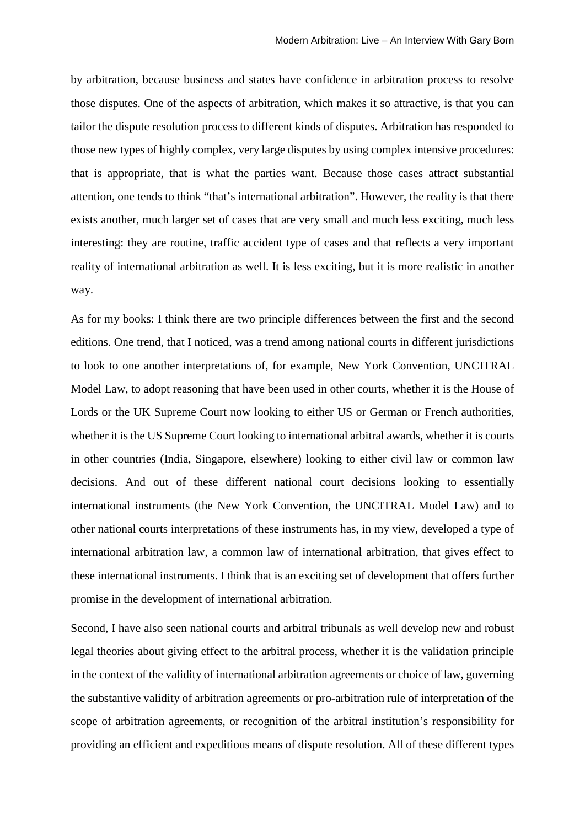by arbitration, because business and states have confidence in arbitration process to resolve those disputes. One of the aspects of arbitration, which makes it so attractive, is that you can tailor the dispute resolution process to different kinds of disputes. Arbitration has responded to those new types of highly complex, very large disputes by using complex intensive procedures: that is appropriate, that is what the parties want. Because those cases attract substantial attention, one tends to think "that's international arbitration". However, the reality is that there exists another, much larger set of cases that are very small and much less exciting, much less interesting: they are routine, traffic accident type of cases and that reflects a very important reality of international arbitration as well. It is less exciting, but it is more realistic in another way.

As for my books: I think there are two principle differences between the first and the second editions. One trend, that I noticed, was a trend among national courts in different jurisdictions to look to one another interpretations of, for example, New York Convention, UNCITRAL Model Law, to adopt reasoning that have been used in other courts, whether it is the House of Lords or the UK Supreme Court now looking to either US or German or French authorities, whether it is the US Supreme Court looking to international arbitral awards, whether it is courts in other countries (India, Singapore, elsewhere) looking to either civil law or common law decisions. And out of these different national court decisions looking to essentially international instruments (the New York Convention, the UNCITRAL Model Law) and to other national courts interpretations of these instruments has, in my view, developed a type of international arbitration law, a common law of international arbitration, that gives effect to these international instruments. I think that is an exciting set of development that offers further promise in the development of international arbitration.

Second, I have also seen national courts and arbitral tribunals as well develop new and robust legal theories about giving effect to the arbitral process, whether it is the validation principle in the context of the validity of international arbitration agreements or choice of law, governing the substantive validity of arbitration agreements or pro-arbitration rule of interpretation of the scope of arbitration agreements, or recognition of the arbitral institution's responsibility for providing an efficient and expeditious means of dispute resolution. All of these different types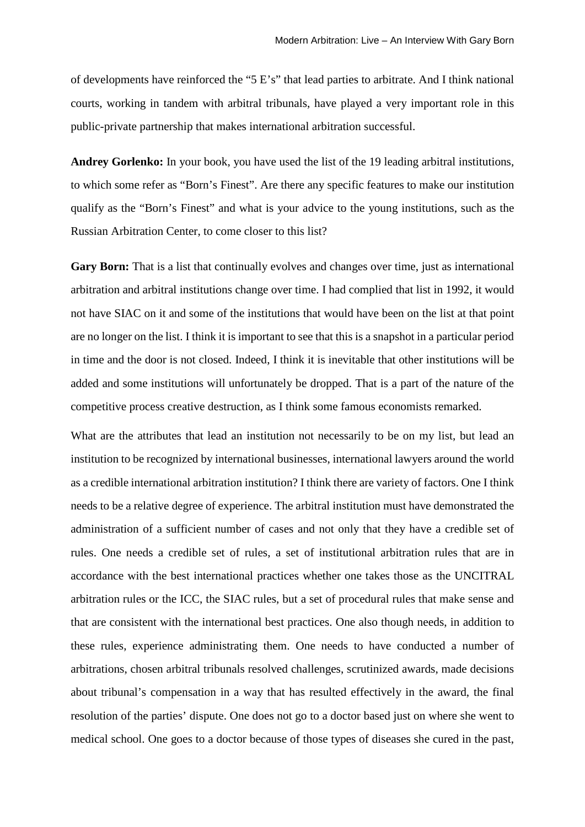of developments have reinforced the "5 E's" that lead parties to arbitrate. And I think national courts, working in tandem with arbitral tribunals, have played a very important role in this public-private partnership that makes international arbitration successful.

**Andrey Gorlenko:** In your book, you have used the list of the 19 leading arbitral institutions, to which some refer as "Born's Finest". Are there any specific features to make our institution qualify as the "Born's Finest" and what is your advice to the young institutions, such as the Russian Arbitration Center, to come closer to this list?

**Gary Born:** That is a list that continually evolves and changes over time, just as international arbitration and arbitral institutions change over time. I had complied that list in 1992, it would not have SIAC on it and some of the institutions that would have been on the list at that point are no longer on the list. I think it is important to see that this is a snapshot in a particular period in time and the door is not closed. Indeed, I think it is inevitable that other institutions will be added and some institutions will unfortunately be dropped. That is a part of the nature of the competitive process creative destruction, as I think some famous economists remarked.

What are the attributes that lead an institution not necessarily to be on my list, but lead an institution to be recognized by international businesses, international lawyers around the world as a credible international arbitration institution? I think there are variety of factors. One I think needs to be a relative degree of experience. The arbitral institution must have demonstrated the administration of a sufficient number of cases and not only that they have a credible set of rules. One needs a credible set of rules, a set of institutional arbitration rules that are in accordance with the best international practices whether one takes those as the UNCITRAL arbitration rules or the ICC, the SIAC rules, but a set of procedural rules that make sense and that are consistent with the international best practices. One also though needs, in addition to these rules, experience administrating them. One needs to have conducted a number of arbitrations, chosen arbitral tribunals resolved challenges, scrutinized awards, made decisions about tribunal's compensation in a way that has resulted effectively in the award, the final resolution of the parties' dispute. One does not go to a doctor based just on where she went to medical school. One goes to a doctor because of those types of diseases she cured in the past,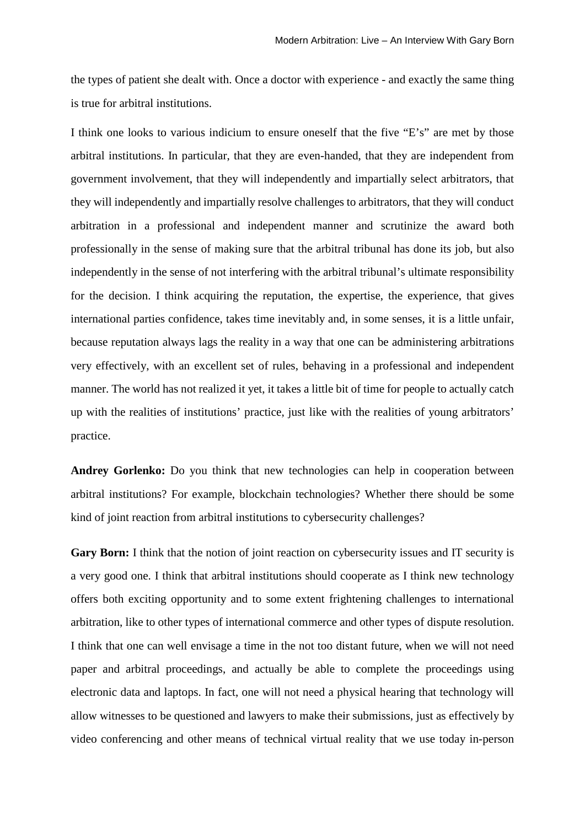the types of patient she dealt with. Once a doctor with experience - and exactly the same thing is true for arbitral institutions.

I think one looks to various indicium to ensure oneself that the five "E's" are met by those arbitral institutions. In particular, that they are even-handed, that they are independent from government involvement, that they will independently and impartially select arbitrators, that they will independently and impartially resolve challenges to arbitrators, that they will conduct arbitration in a professional and independent manner and scrutinize the award both professionally in the sense of making sure that the arbitral tribunal has done its job, but also independently in the sense of not interfering with the arbitral tribunal's ultimate responsibility for the decision. I think acquiring the reputation, the expertise, the experience, that gives international parties confidence, takes time inevitably and, in some senses, it is a little unfair, because reputation always lags the reality in a way that one can be administering arbitrations very effectively, with an excellent set of rules, behaving in a professional and independent manner. The world has not realized it yet, it takes a little bit of time for people to actually catch up with the realities of institutions' practice, just like with the realities of young arbitrators' practice.

**Andrey Gorlenko:** Do you think that new technologies can help in cooperation between arbitral institutions? For example, blockchain technologies? Whether there should be some kind of joint reaction from arbitral institutions to cybersecurity challenges?

**Gary Born:** I think that the notion of joint reaction on cybersecurity issues and IT security is a very good one. I think that arbitral institutions should cooperate as I think new technology offers both exciting opportunity and to some extent frightening challenges to international arbitration, like to other types of international commerce and other types of dispute resolution. I think that one can well envisage a time in the not too distant future, when we will not need paper and arbitral proceedings, and actually be able to complete the proceedings using electronic data and laptops. In fact, one will not need a physical hearing that technology will allow witnesses to be questioned and lawyers to make their submissions, just as effectively by video conferencing and other means of technical virtual reality that we use today in-person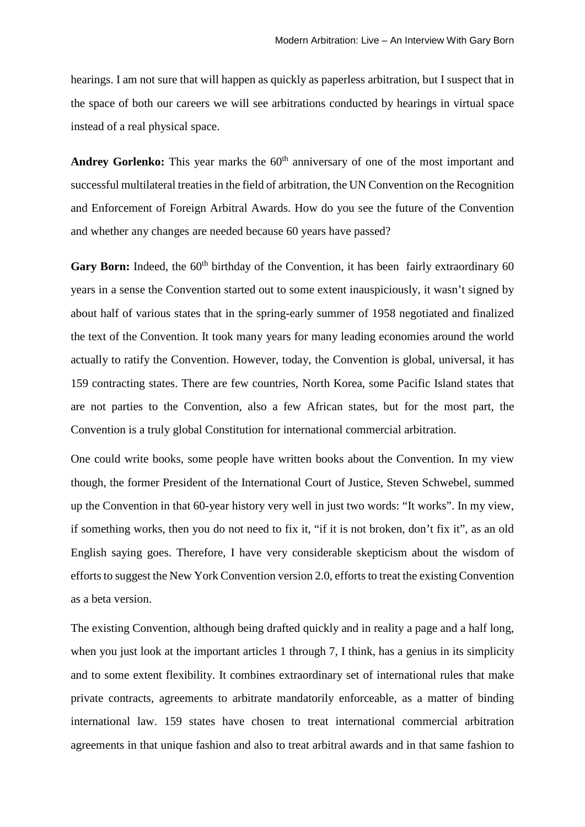hearings. I am not sure that will happen as quickly as paperless arbitration, but I suspect that in the space of both our careers we will see arbitrations conducted by hearings in virtual space instead of a real physical space.

**Andrey Gorlenko:** This year marks the 60<sup>th</sup> anniversary of one of the most important and successful multilateral treaties in the field of arbitration, the UN Convention on the Recognition and Enforcement of Foreign Arbitral Awards. How do you see the future of the Convention and whether any changes are needed because 60 years have passed?

**Gary Born:** Indeed, the 60<sup>th</sup> birthday of the Convention, it has been fairly extraordinary 60 years in a sense the Convention started out to some extent inauspiciously, it wasn't signed by about half of various states that in the spring-early summer of 1958 negotiated and finalized the text of the Convention. It took many years for many leading economies around the world actually to ratify the Convention. However, today, the Convention is global, universal, it has 159 contracting states. There are few countries, North Korea, some Pacific Island states that are not parties to the Convention, also a few African states, but for the most part, the Convention is a truly global Constitution for international commercial arbitration.

One could write books, some people have written books about the Convention. In my view though, the former President of the International Court of Justice, Steven Schwebel, summed up the Convention in that 60-year history very well in just two words: "It works". In my view, if something works, then you do not need to fix it, "if it is not broken, don't fix it", as an old English saying goes. Therefore, I have very considerable skepticism about the wisdom of efforts to suggest the New York Convention version 2.0, efforts to treat the existing Convention as a beta version.

The existing Convention, although being drafted quickly and in reality a page and a half long, when you just look at the important articles 1 through 7, I think, has a genius in its simplicity and to some extent flexibility. It combines extraordinary set of international rules that make private contracts, agreements to arbitrate mandatorily enforceable, as a matter of binding international law. 159 states have chosen to treat international commercial arbitration agreements in that unique fashion and also to treat arbitral awards and in that same fashion to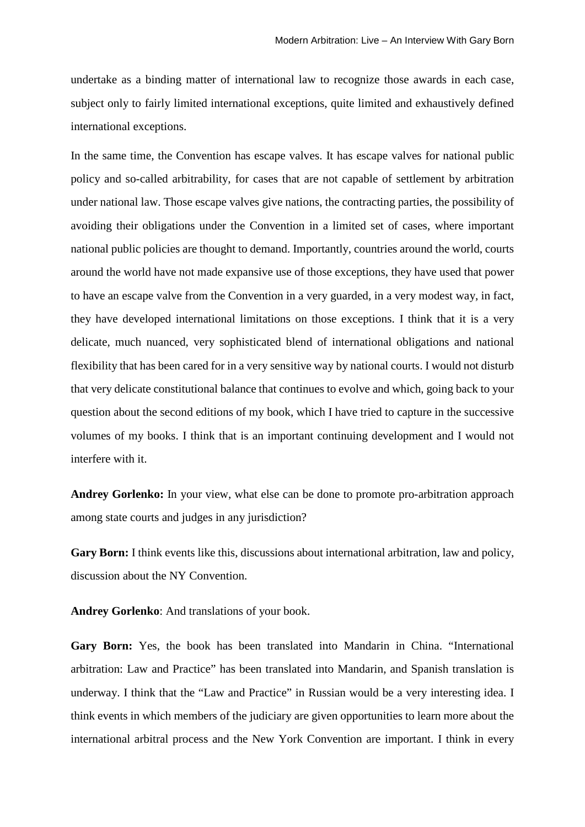undertake as a binding matter of international law to recognize those awards in each case, subject only to fairly limited international exceptions, quite limited and exhaustively defined international exceptions.

In the same time, the Convention has escape valves. It has escape valves for national public policy and so-called arbitrability, for cases that are not capable of settlement by arbitration under national law. Those escape valves give nations, the contracting parties, the possibility of avoiding their obligations under the Convention in a limited set of cases, where important national public policies are thought to demand. Importantly, countries around the world, courts around the world have not made expansive use of those exceptions, they have used that power to have an escape valve from the Convention in a very guarded, in a very modest way, in fact, they have developed international limitations on those exceptions. I think that it is a very delicate, much nuanced, very sophisticated blend of international obligations and national flexibility that has been cared for in a very sensitive way by national courts. I would not disturb that very delicate constitutional balance that continues to evolve and which, going back to your question about the second editions of my book, which I have tried to capture in the successive volumes of my books. I think that is an important continuing development and I would not interfere with it.

**Andrey Gorlenko:** In your view, what else can be done to promote pro-arbitration approach among state courts and judges in any jurisdiction?

**Gary Born:** I think events like this, discussions about international arbitration, law and policy, discussion about the NY Convention.

**Andrey Gorlenko**: And translations of your book.

**Gary Born:** Yes, the book has been translated into Mandarin in China. "International arbitration: Law and Practice" has been translated into Mandarin, and Spanish translation is underway. I think that the "Law and Practice" in Russian would be a very interesting idea. I think events in which members of the judiciary are given opportunities to learn more about the international arbitral process and the New York Convention are important. I think in every